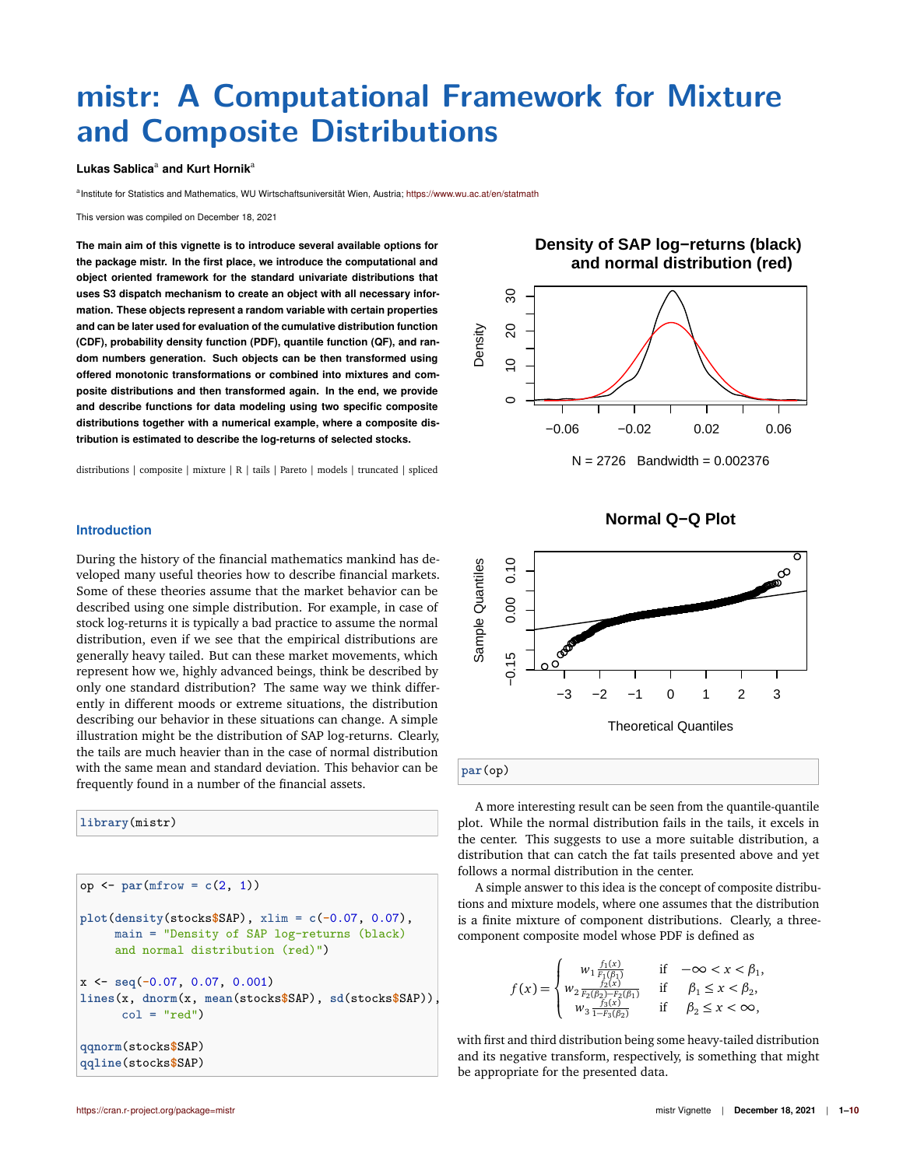# **mistr: A Computational Framework for Mixture and Composite Distributions**

## **Lukas Sablica**<sup>a</sup> **and Kurt Hornik**<sup>a</sup>

a Institute for Statistics and Mathematics, WU Wirtschaftsuniversität Wien, Austria; <https://www.wu.ac.at/en/statmath>

This version was compiled on December 18, 2021

**The main aim of this vignette is to introduce several available options for the package mistr. In the first place, we introduce the computational and object oriented framework for the standard univariate distributions that uses S3 dispatch mechanism to create an object with all necessary information. These objects represent a random variable with certain properties and can be later used for evaluation of the cumulative distribution function (CDF), probability density function (PDF), quantile function (QF), and random numbers generation. Such objects can be then transformed using offered monotonic transformations or combined into mixtures and composite distributions and then transformed again. In the end, we provide and describe functions for data modeling using two specific composite distributions together with a numerical example, where a composite distribution is estimated to describe the log-returns of selected stocks.**

distributions | composite | mixture | R | tails | Pareto | models | truncated | spliced





**Introduction**

During the history of the financial mathematics mankind has developed many useful theories how to describe financial markets. Some of these theories assume that the market behavior can be described using one simple distribution. For example, in case of stock log-returns it is typically a bad practice to assume the normal distribution, even if we see that the empirical distributions are generally heavy tailed. But can these market movements, which represent how we, highly advanced beings, think be described by only one standard distribution? The same way we think differently in different moods or extreme situations, the distribution describing our behavior in these situations can change. A simple illustration might be the distribution of SAP log-returns. Clearly, the tails are much heavier than in the case of normal distribution with the same mean and standard deviation. This behavior can be frequently found in a number of the financial assets.

**library**(mistr)

op <- **par**(mfrow = **c**(2, 1)) **plot**(**density**(stocks**\$**SAP), xlim = **c**(**-**0.07, 0.07), main = "Density of SAP log-returns (black) and normal distribution (red)") x <- **seq**(**-**0.07, 0.07, 0.001) **lines**(x, **dnorm**(x, **mean**(stocks**\$**SAP), **sd**(stocks**\$**SAP)), col = "red") **qqnorm**(stocks**\$**SAP) **qqline**(stocks**\$**SAP)

**Normal Q−Q Plot**



A more interesting result can be seen from the quantile-quantile plot. While the normal distribution fails in the tails, it excels in the center. This suggests to use a more suitable distribution, a distribution that can catch the fat tails presented above and yet

A simple answer to this idea is the concept of composite distributions and mixture models, where one assumes that the distribution is a finite mixture of component distributions. Clearly, a threecomponent composite model whose PDF is defined as

follows a normal distribution in the center.

$$
f(x) = \begin{cases} w_1 \frac{f_1(x)}{F_1(\beta_1)} & \text{if } -\infty < x < \beta_1, \\ w_2 \frac{f_2(x)}{F_2(\beta_2) - F_2(\beta_1)} & \text{if } \beta_1 \le x < \beta_2, \\ w_3 \frac{f_3(x)}{1 - F_3(\beta_2)} & \text{if } \beta_2 \le x < \infty, \end{cases}
$$

with first and third distribution being some heavy-tailed distribution and its negative transform, respectively, is something that might be appropriate for the presented data.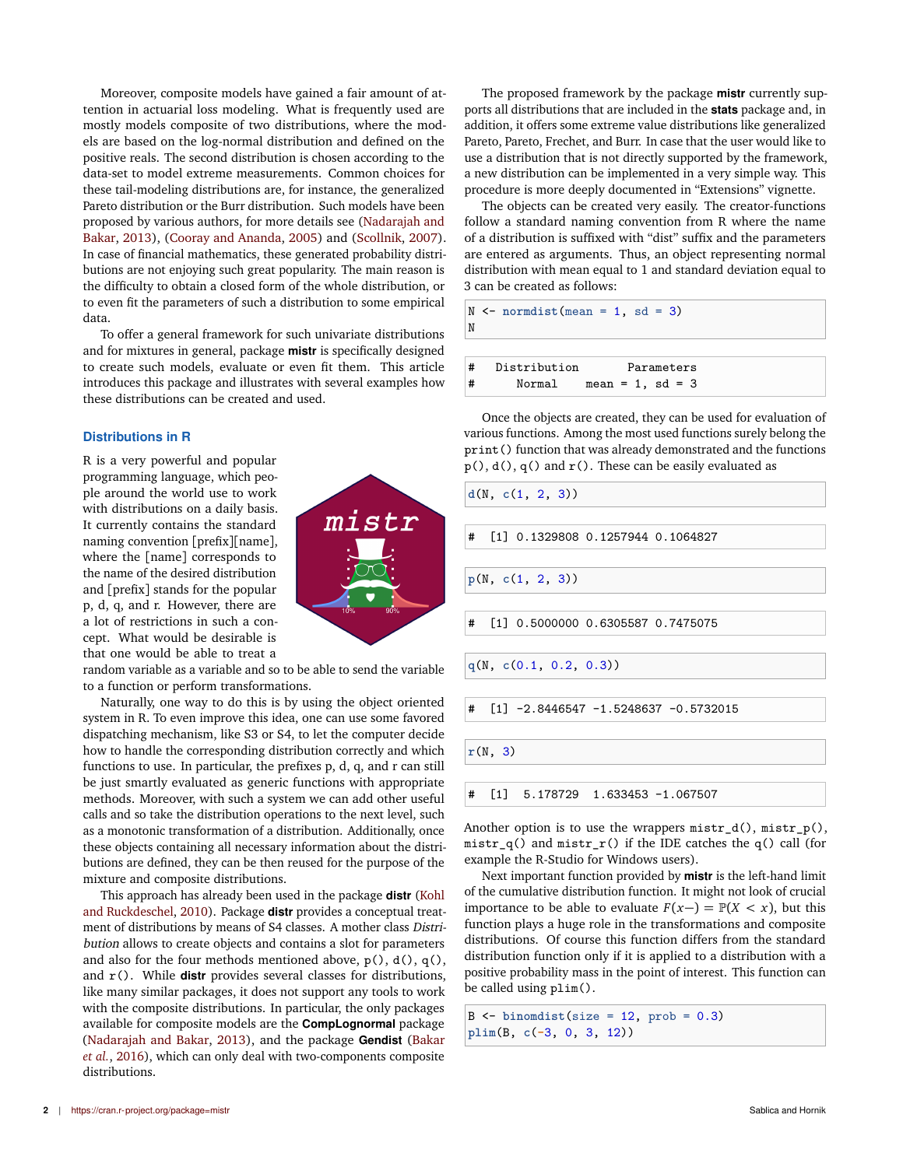Moreover, composite models have gained a fair amount of attention in actuarial loss modeling. What is frequently used are mostly models composite of two distributions, where the models are based on the log-normal distribution and defined on the positive reals. The second distribution is chosen according to the data-set to model extreme measurements. Common choices for these tail-modeling distributions are, for instance, the generalized Pareto distribution or the Burr distribution. Such models have been proposed by various authors, for more details see [\(Nadarajah and](#page-9-1) [Bakar,](#page-9-1) [2013\)](#page-9-1), [\(Cooray and Ananda,](#page-9-2) [2005\)](#page-9-2) and [\(Scollnik,](#page-9-3) [2007\)](#page-9-3). In case of financial mathematics, these generated probability distributions are not enjoying such great popularity. The main reason is the difficulty to obtain a closed form of the whole distribution, or to even fit the parameters of such a distribution to some empirical data.

To offer a general framework for such univariate distributions and for mixtures in general, package **mistr** is specifically designed to create such models, evaluate or even fit them. This article introduces this package and illustrates with several examples how these distributions can be created and used.

# **Distributions in R**

R is a very powerful and popular programming language, which people around the world use to work with distributions on a daily basis. It currently contains the standard naming convention [prefix][name], where the [name] corresponds to the name of the desired distribution and [prefix] stands for the popular p, d, q, and r. However, there are a lot of restrictions in such a concept. What would be desirable is that one would be able to treat a

random variable as a variable and so to be able to send the variable to a function or perform transformations.

Naturally, one way to do this is by using the object oriented system in R. To even improve this idea, one can use some favored dispatching mechanism, like S3 or S4, to let the computer decide how to handle the corresponding distribution correctly and which functions to use. In particular, the prefixes p, d, q, and r can still be just smartly evaluated as generic functions with appropriate methods. Moreover, with such a system we can add other useful calls and so take the distribution operations to the next level, such as a monotonic transformation of a distribution. Additionally, once these objects containing all necessary information about the distributions are defined, they can be then reused for the purpose of the mixture and composite distributions.

This approach has already been used in the package **distr** [\(Kohl](#page-9-4) [and Ruckdeschel,](#page-9-4) [2010\)](#page-9-4). Package **distr** provides a conceptual treatment of distributions by means of S4 classes. A mother class Distribution allows to create objects and contains a slot for parameters and also for the four methods mentioned above,  $p()$ ,  $d()$ ,  $q()$ , and r(). While **distr** provides several classes for distributions, like many similar packages, it does not support any tools to work with the composite distributions. In particular, the only packages available for composite models are the **CompLognormal** package [\(Nadarajah and Bakar,](#page-9-1) [2013\)](#page-9-1), and the package **Gendist** [\(Bakar](#page-9-5) *[et al.](#page-9-5)*, [2016\)](#page-9-5), which can only deal with two-components composite distributions.

The proposed framework by the package **mistr** currently supports all distributions that are included in the **stats** package and, in addition, it offers some extreme value distributions like generalized Pareto, Pareto, Frechet, and Burr. In case that the user would like to use a distribution that is not directly supported by the framework, a new distribution can be implemented in a very simple way. This procedure is more deeply documented in "Extensions" vignette.

The objects can be created very easily. The creator-functions follow a standard naming convention from R where the name of a distribution is suffixed with "dist" suffix and the parameters are entered as arguments. Thus, an object representing normal distribution with mean equal to 1 and standard deviation equal to 3 can be created as follows:

|   | $N \le$ normdist (mean = 1, sd = 3) |            |
|---|-------------------------------------|------------|
|   |                                     |            |
| # | Distribution                        | Parameters |

# Normal mean = 1, sd = 3

Once the objects are created, they can be used for evaluation of various functions. Among the most used functions surely belong the print() function that was already demonstrated and the functions  $p(), d(), q()$  and  $r()$ . These can be easily evaluated as

```
d(N, c(1, 2, 3))
   # [1] 0.1329808 0.1257944 0.1064827
p(N, c(1, 2, 3))
# [1] 0.5000000 0.6305587 0.7475075
q(N, c(0.1, 0.2, 0.3))
# [1] -2.8446547 -1.5248637 -0.5732015
r(N, 3)
# [1] 5.178729 1.633453 -1.067507
```
Another option is to use the wrappers mistr\_d(), mistr\_p(),  $mistr_q()$  and  $mistr_r()$  if the IDE catches the q() call (for example the R-Studio for Windows users).

Next important function provided by **mistr** is the left-hand limit of the cumulative distribution function. It might not look of crucial importance to be able to evaluate  $F(x-) = \mathbb{P}(X < x)$ , but this function plays a huge role in the transformations and composite distributions. Of course this function differs from the standard distribution function only if it is applied to a distribution with a positive probability mass in the point of interest. This function can be called using plim().

B <- **binomdist**(size = 12, prob = 0.3) **plim**(B, **c**(**-**3, 0, 3, 12))

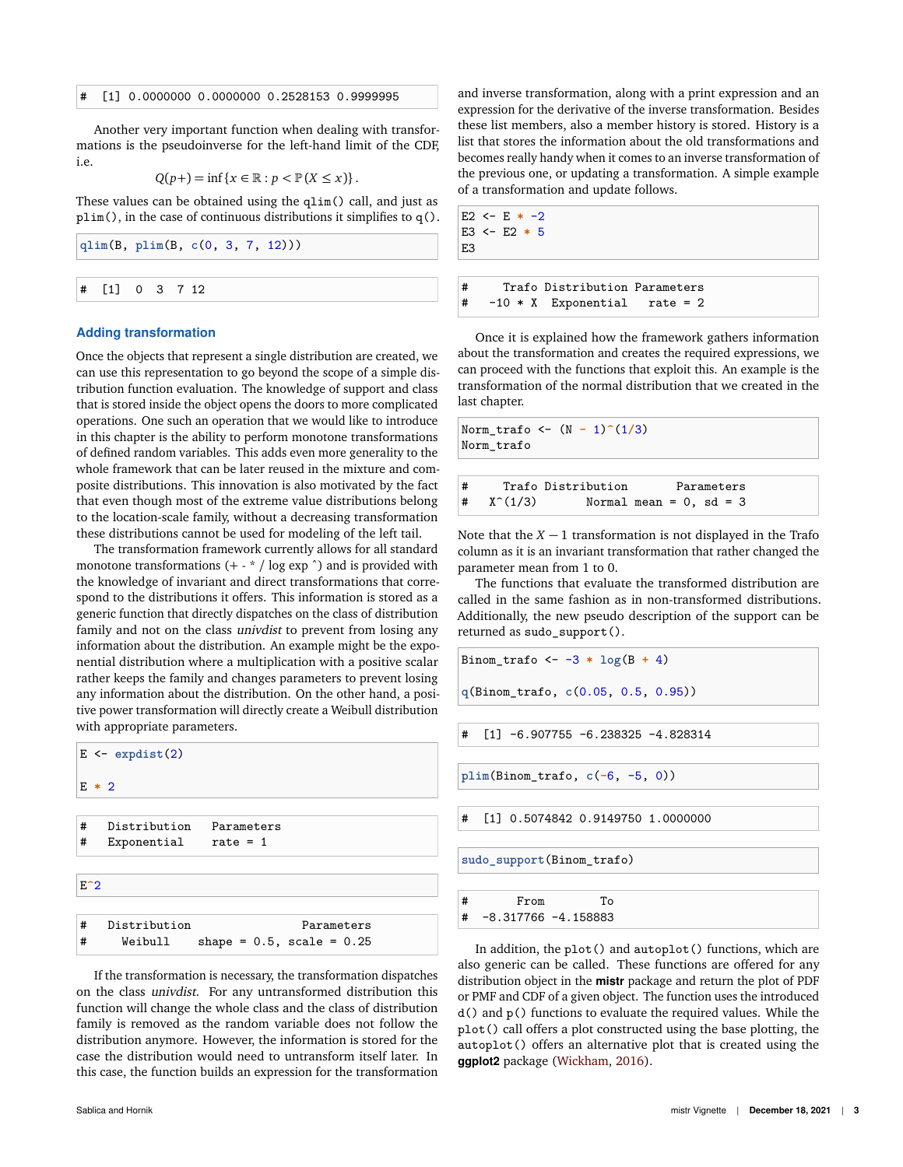#### # [1] 0.0000000 0.0000000 0.2528153 0.9999995

Another very important function when dealing with transformations is the pseudoinverse for the left-hand limit of the CDF, i.e.

$$
Q(p+) = \inf \{x \in \mathbb{R} : p < \mathbb{P}(X \leq x)\}.
$$

These values can be obtained using the qlim() call, and just as plim(), in the case of continuous distributions it simplifies to q().

|  | qlim(B, plim(B, c(0, 3, 7, 12))) |  |  |  |  |  |  |  | E <sub>3</sub> |      |
|--|----------------------------------|--|--|--|--|--|--|--|----------------|------|
|  |                                  |  |  |  |  |  |  |  |                |      |
|  | $\sharp$ [1] 0 3 7 12            |  |  |  |  |  |  |  |                | Traf |

#### **Adding transformation**

Once the objects that represent a single distribution are created, we can use this representation to go beyond the scope of a simple distribution function evaluation. The knowledge of support and class that is stored inside the object opens the doors to more complicated operations. One such an operation that we would like to introduce in this chapter is the ability to perform monotone transformations of defined random variables. This adds even more generality to the whole framework that can be later reused in the mixture and composite distributions. This innovation is also motivated by the fact that even though most of the extreme value distributions belong to the location-scale family, without a decreasing transformation these distributions cannot be used for modeling of the left tail.

The transformation framework currently allows for all standard monotone transformations  $(+ - * / log exp ^{n})$  and is provided with the knowledge of invariant and direct transformations that correspond to the distributions it offers. This information is stored as a generic function that directly dispatches on the class of distribution family and not on the class *univdist* to prevent from losing any information about the distribution. An example might be the exponential distribution where a multiplication with a positive scalar rather keeps the family and changes parameters to prevent losing any information about the distribution. On the other hand, a positive power transformation will directly create a Weibull distribution with appropriate parameters.



If the transformation is necessary, the transformation dispatches on the class univdist. For any untransformed distribution this function will change the whole class and the class of distribution family is removed as the random variable does not follow the distribution anymore. However, the information is stored for the case the distribution would need to untransform itself later. In this case, the function builds an expression for the transformation and inverse transformation, along with a print expression and an expression for the derivative of the inverse transformation. Besides these list members, also a member history is stored. History is a list that stores the information about the old transformations and becomes really handy when it comes to an inverse transformation of the previous one, or updating a transformation. A simple example of a transformation and update follows.

E2  $<- E * -2$ E3 <- E2 **\*** 5

o Distribution Parameters # -10 \* X Exponential rate = 2

Once it is explained how the framework gathers information about the transformation and creates the required expressions, we can proceed with the functions that exploit this. An example is the transformation of the normal distribution that we created in the last chapter.

Norm\_trafo <- (N **-** 1)**^**(1**/**3) Norm\_trafo

| # |                 | Trafo Distribution           |  | Parameters |  |  |
|---|-----------------|------------------------------|--|------------|--|--|
|   | $X^{\sim}(1/3)$ | Normal mean = $0$ , sd = $3$ |  |            |  |  |

Note that the  $X - 1$  transformation is not displayed in the Trafo column as it is an invariant transformation that rather changed the parameter mean from 1 to 0.

The functions that evaluate the transformed distribution are called in the same fashion as in non-transformed distributions. Additionally, the new pseudo description of the support can be returned as sudo\_support().

```
Binom_trafo <- -3 * log(B + 4)
```
**q**(Binom\_trafo, **c**(0.05, 0.5, 0.95))

 $[1]$  -6.907755 -6.238325 -4.828314

**plim**(Binom\_trafo, **c**(**-**6, -5, 0))

# [1] 0.5074842 0.9149750 1.0000000

**sudo\_support**(Binom\_trafo)

| # | From                   | Tο |
|---|------------------------|----|
| # | $-8.317766 - 4.158883$ |    |

In addition, the plot() and autoplot() functions, which are also generic can be called. These functions are offered for any distribution object in the **mistr** package and return the plot of PDF or PMF and CDF of a given object. The function uses the introduced d() and p() functions to evaluate the required values. While the plot() call offers a plot constructed using the base plotting, the autoplot() offers an alternative plot that is created using the **ggplot2** package [\(Wickham,](#page-9-6) [2016\)](#page-9-6).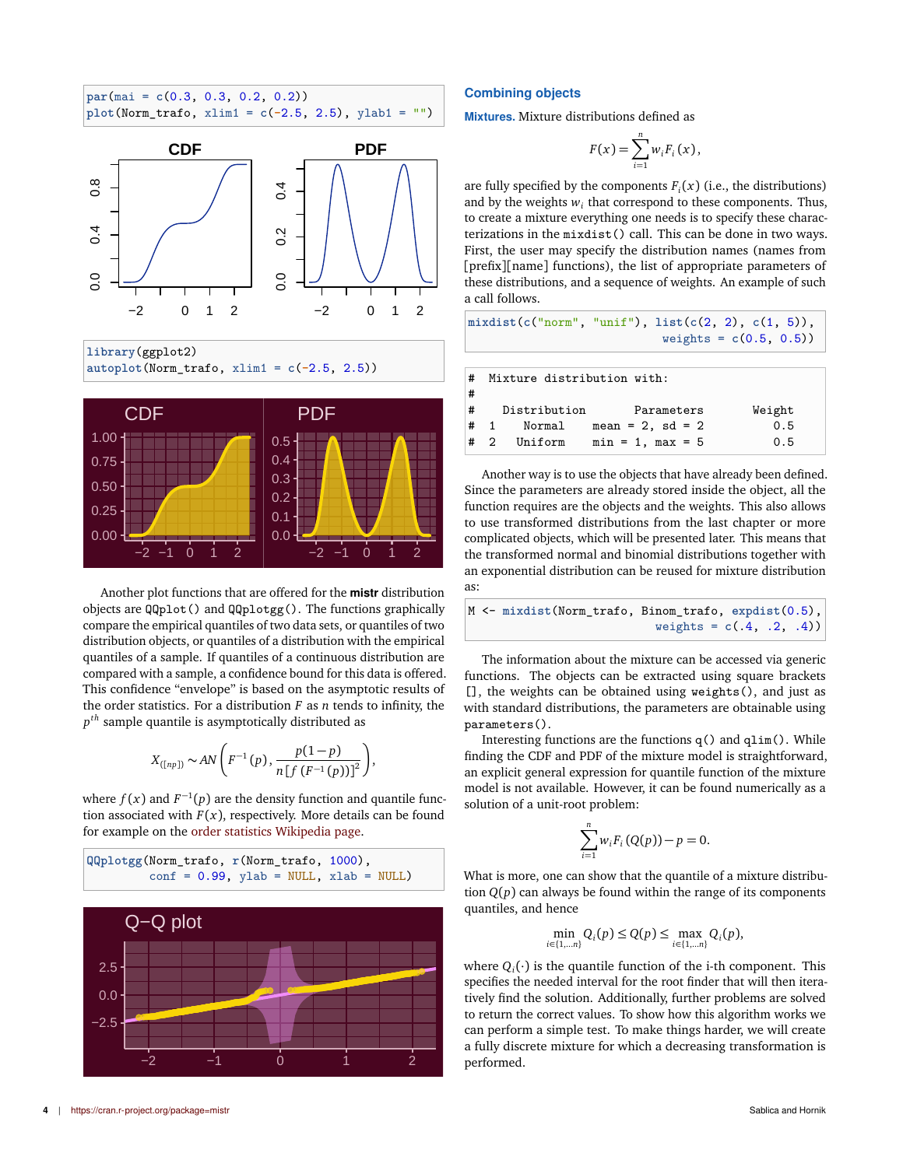



**library**(ggplot2) **autoplot**(Norm\_trafo, xlim1 = **c**(**-**2.5, 2.5))



Another plot functions that are offered for the **mistr** distribution objects are QQplot() and QQplotgg(). The functions graphically compare the empirical quantiles of two data sets, or quantiles of two distribution objects, or quantiles of a distribution with the empirical quantiles of a sample. If quantiles of a continuous distribution are compared with a sample, a confidence bound for this data is offered. This confidence "envelope" is based on the asymptotic results of the order statistics. For a distribution  $F$  as  $n$  tends to infinity, the *p th* sample quantile is asymptotically distributed as

$$
X_{([np])} \sim AN\left(F^{-1}(p), \frac{p(1-p)}{n[f(F^{-1}(p))]^2}\right),\,
$$

where  $f(x)$  and  $F^{-1}(p)$  are the density function and quantile function associated with  $F(x)$ , respectively. More details can be found for example on the [order statistics Wikipedia page.](https://en.wikipedia.org/wiki/Order_statistic)



## **Combining objects**

**Mixtures.** Mixture distributions defined as

$$
F(x) = \sum_{i=1}^n w_i F_i(x),
$$

are fully specified by the components  $F_i(x)$  (i.e., the distributions) and by the weights  $w_i$  that correspond to these components. Thus, to create a mixture everything one needs is to specify these characterizations in the mixdist() call. This can be done in two ways. First, the user may specify the distribution names (names from [prefix][name] functions), the list of appropriate parameters of these distributions, and a sequence of weights. An example of such a call follows.

$$
\text{mixdist}(c("norm", "unif"), \text{list}(c(2, 2), c(1, 5)),
$$
\n
$$
\text{weights} = c(0.5, 0.5))
$$

| #<br># | Mixture distribution with: |                       |        |
|--------|----------------------------|-----------------------|--------|
|        | # Distribution             | Parameters            | Weight |
| $#$ 1  | Normal                     | $mean = 2$ , $sd = 2$ | 0.5    |
| #2     | Uniform                    | $min = 1$ , $max = 5$ | 0.5    |

Another way is to use the objects that have already been defined. Since the parameters are already stored inside the object, all the function requires are the objects and the weights. This also allows to use transformed distributions from the last chapter or more complicated objects, which will be presented later. This means that the transformed normal and binomial distributions together with an exponential distribution can be reused for mixture distribution as:

|  | M <- mixdist(Norm_trafo, Binom_trafo, expdist(0.5), |                             |  |  |
|--|-----------------------------------------------------|-----------------------------|--|--|
|  |                                                     | weights = $c(.4, .2, .4)$ ) |  |  |

The information about the mixture can be accessed via generic functions. The objects can be extracted using square brackets [], the weights can be obtained using weights(), and just as with standard distributions, the parameters are obtainable using parameters().

Interesting functions are the functions  $q()$  and  $qlim()$ . While finding the CDF and PDF of the mixture model is straightforward, an explicit general expression for quantile function of the mixture model is not available. However, it can be found numerically as a solution of a unit-root problem:

$$
\sum_{i=1}^{n} w_i F_i(Q(p)) - p = 0.
$$

What is more, one can show that the quantile of a mixture distribution  $Q(p)$  can always be found within the range of its components quantiles, and hence

$$
\min_{i\in\{1,\ldots n\}} Q_i(p) \le Q(p) \le \max_{i\in\{1,\ldots n\}} Q_i(p),
$$

where  $Q_i(\cdot)$  is the quantile function of the i-th component. This specifies the needed interval for the root finder that will then iteratively find the solution. Additionally, further problems are solved to return the correct values. To show how this algorithm works we can perform a simple test. To make things harder, we will create a fully discrete mixture for which a decreasing transformation is performed.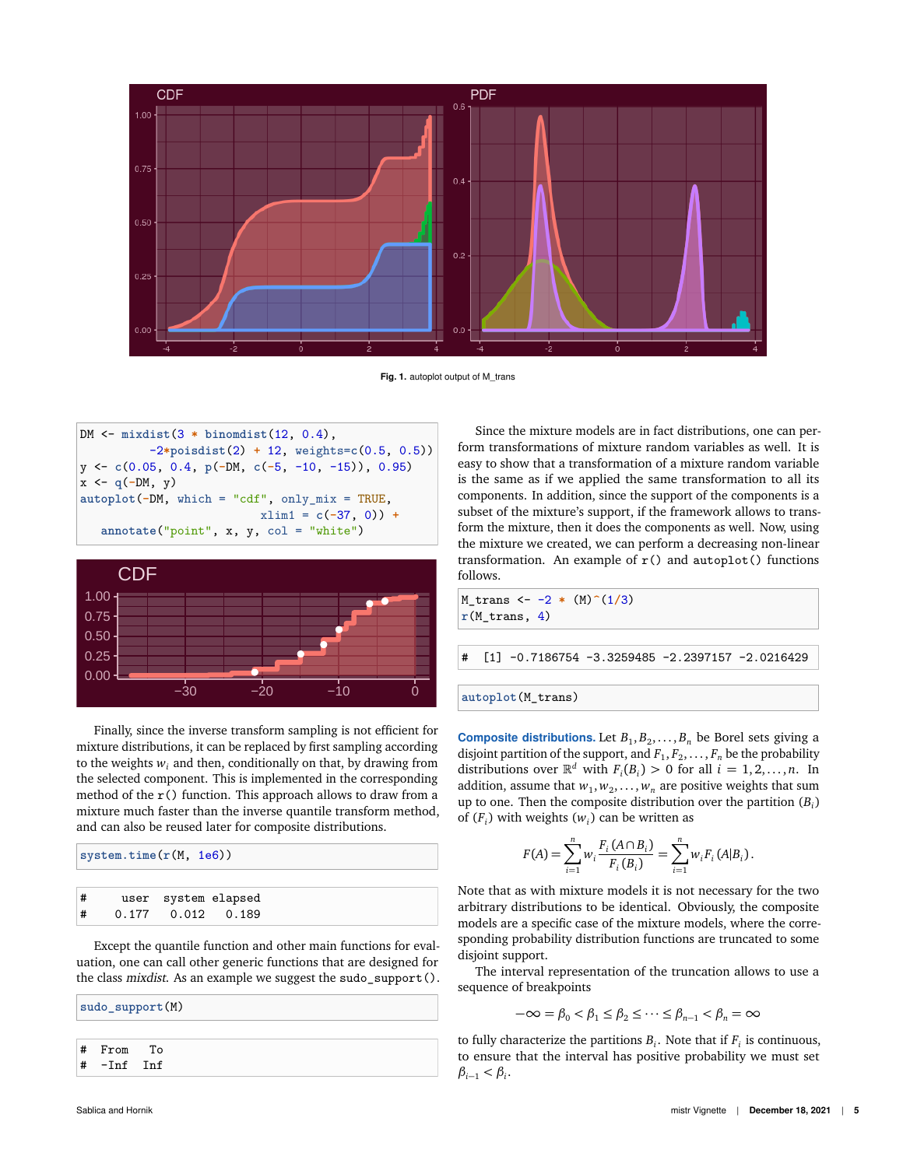

Fig. 1. autoplot output of M\_trans

DM <- **mixdist**(3 **\* binomdist**(12, 0.4), -2**\*poisdist**(2) **+** 12, weights=**c**(0.5, 0.5)) y <- **c**(0.05, 0.4, **p**(**-**DM, **c**(**-**5, -10, -15)), 0.95) x <- **q**(**-**DM, y) **autoplot**(**-**DM, which = "cdf", only\_mix = TRUE, xlim1 = **c**(**-**37, 0)) **+ annotate**("point", x, y, col = "white")



Finally, since the inverse transform sampling is not efficient for mixture distributions, it can be replaced by first sampling according to the weights  $w_i$  and then, conditionally on that, by drawing from the selected component. This is implemented in the corresponding method of the  $r()$  function. This approach allows to draw from a mixture much faster than the inverse quantile transform method, and can also be reused later for composite distributions.

|   | system.time(r(M, 1e6)) |  |                         |  |  |  |
|---|------------------------|--|-------------------------|--|--|--|
|   |                        |  |                         |  |  |  |
| # |                        |  | user system elapsed     |  |  |  |
| # |                        |  | $0.177$ $0.012$ $0.189$ |  |  |  |

Except the quantile function and other main functions for evaluation, one can call other generic functions that are designed for the class mixdist. As an example we suggest the sudo\_support().

**sudo\_support**(M) # From To # -Inf Inf

Since the mixture models are in fact distributions, one can perform transformations of mixture random variables as well. It is easy to show that a transformation of a mixture random variable is the same as if we applied the same transformation to all its components. In addition, since the support of the components is a subset of the mixture's support, if the framework allows to transform the mixture, then it does the components as well. Now, using the mixture we created, we can perform a decreasing non-linear transformation. An example of  $r()$  and  $\text{autoplot()}$  functions follows.

M\_trans <- -2 **\*** (M)**^**(1**/**3) **r**(M\_trans, 4)

 $[1] -0.7186754 -3.3259485 -2.2397157 -2.0216429$ 

```
autoplot(M_trans)
```
**Composite distributions.** Let  $B_1, B_2, \ldots, B_n$  be Borel sets giving a disjoint partition of the support, and  $F_1, F_2, \ldots, F_n$  be the probability distributions over  $\mathbb{R}^d$  with  $F_i(B_i) > 0$  for all  $i = 1, 2, ..., n$ . In addition, assume that  $w_1, w_2, \ldots, w_n$  are positive weights that sum up to one. Then the composite distribution over the partition (*B<sup>i</sup>* ) of  $(F_i)$  with weights  $(w_i)$  can be written as

$$
F(A) = \sum_{i=1}^{n} w_i \frac{F_i(A \cap B_i)}{F_i(B_i)} = \sum_{i=1}^{n} w_i F_i(A|B_i).
$$

Note that as with mixture models it is not necessary for the two arbitrary distributions to be identical. Obviously, the composite models are a specific case of the mixture models, where the corresponding probability distribution functions are truncated to some disjoint support.

The interval representation of the truncation allows to use a sequence of breakpoints

$$
-\infty = \beta_0 < \beta_1 \le \beta_2 \le \cdots \le \beta_{n-1} < \beta_n = \infty
$$

to fully characterize the partitions  $B_i$ . Note that if  $F_i$  is continuous, to ensure that the interval has positive probability we must set  $\beta_{i-1} < \beta_i$ .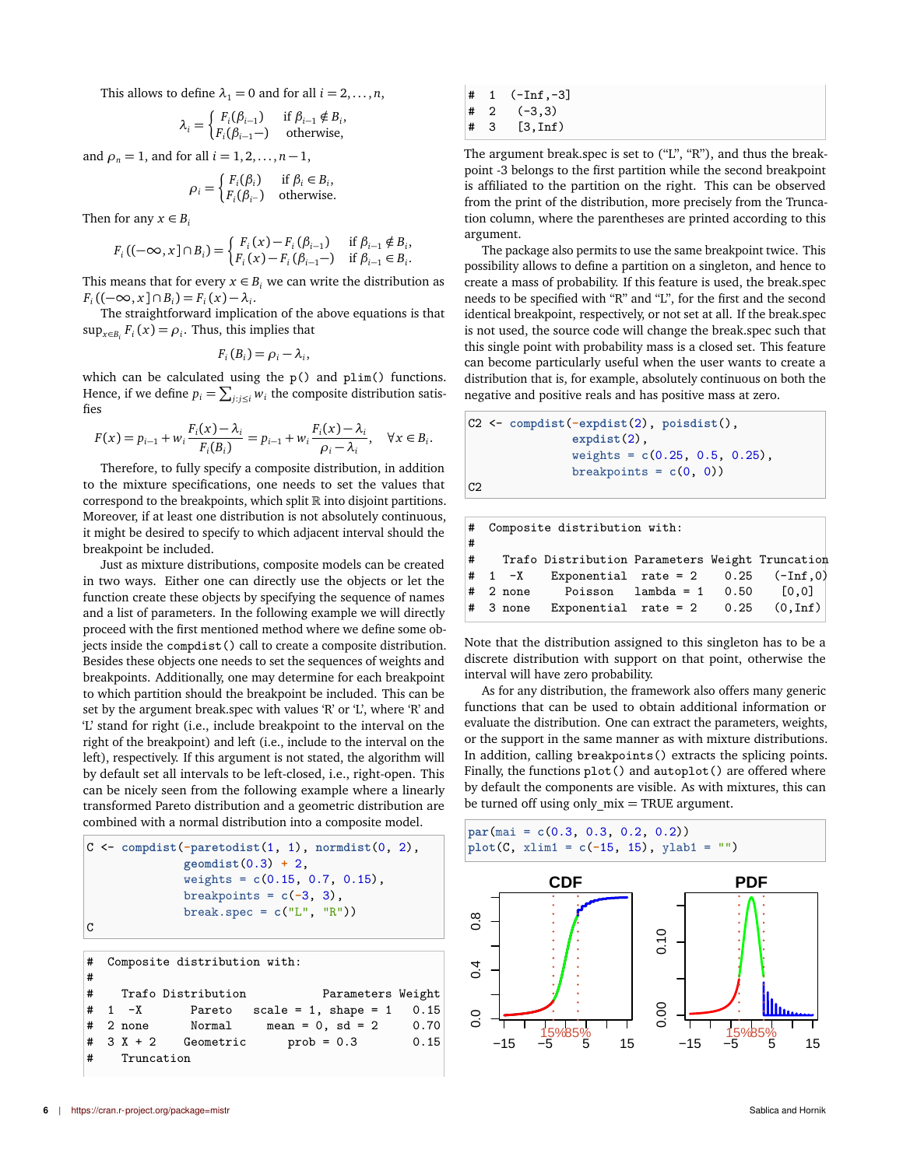This allows to define  $\lambda_1 = 0$  and for all  $i = 2, \ldots, n$ ,

$$
\lambda_i = \begin{cases} F_i(\beta_{i-1}) & \text{if } \beta_{i-1} \notin B_i, \\ F_i(\beta_{i-1}) & \text{otherwise,} \end{cases}
$$

and  $\rho_n = 1$ , and for all  $i = 1, 2, ..., n - 1$ ,

$$
\rho_i = \begin{cases} F_i(\beta_i) & \text{if } \beta_i \in B_i, \\ F_i(\beta_{i^-}) & \text{otherwise.} \end{cases}
$$

Then for any  $x \in B_i$ 

$$
F_i ((-\infty, x] \cap B_i) = \begin{cases} F_i (x) - F_i (\beta_{i-1}) & \text{if } \beta_{i-1} \notin B_i \\ F_i (x) - F_i (\beta_{i-1} -) & \text{if } \beta_{i-1} \in B_i \end{cases}
$$

This means that for every  $x \in B_i$  we can write the distribution as  $F_i$  ((-∞, *x*] ∩  $B_i$ ) =  $F_i$  (*x*) –  $\lambda_i$ .

The straightforward implication of the above equations is that  $\sup_{x \in B_i} F_i(x) = \rho_i$ . Thus, this implies that

$$
F_i(B_i) = \rho_i - \lambda_i,
$$

which can be calculated using the p() and plim() functions. Hence, if we define  $p_i = \sum_{j : j \leq i} w_i$  the composite distribution satisfies

$$
F(x) = p_{i-1} + w_i \frac{F_i(x) - \lambda_i}{F_i(B_i)} = p_{i-1} + w_i \frac{F_i(x) - \lambda_i}{\rho_i - \lambda_i}, \quad \forall x \in B_i.
$$

Therefore, to fully specify a composite distribution, in addition to the mixture specifications, one needs to set the values that correspond to the breakpoints, which split  $\mathbb R$  into disjoint partitions. Moreover, if at least one distribution is not absolutely continuous, it might be desired to specify to which adjacent interval should the breakpoint be included.

Just as mixture distributions, composite models can be created in two ways. Either one can directly use the objects or let the function create these objects by specifying the sequence of names and a list of parameters. In the following example we will directly proceed with the first mentioned method where we define some objects inside the compdist() call to create a composite distribution. Besides these objects one needs to set the sequences of weights and breakpoints. Additionally, one may determine for each breakpoint to which partition should the breakpoint be included. This can be set by the argument break.spec with values 'R' or 'L', where 'R' and 'L' stand for right (i.e., include breakpoint to the interval on the right of the breakpoint) and left (i.e., include to the interval on the left), respectively. If this argument is not stated, the algorithm will by default set all intervals to be left-closed, i.e., right-open. This can be nicely seen from the following example where a linearly transformed Pareto distribution and a geometric distribution are combined with a normal distribution into a composite model.

```
C <- compdist(-paretodist(1, 1), normdist(0, 2),
              geomdist(0.3) + 2,
              weights = c(0.15, 0.7, 0.15),
              breakpoints = c(-3, 3),
              break.spec = c("L", "R"))
C
```

```
# Composite distribution with:
#
# Trafo Distribution Parameters Weight
# 1 -X Pareto scale = 1, shape = 1 0.15
# 2 none Normal mean = 0, sd = 2 0.70
# 3 X + 2 Geometric prob = 0.3 0.15
# Truncation
```

| # | 1           | $(-Inf.-3]$                     |
|---|-------------|---------------------------------|
| # | $2^{\circ}$ | $(-3,3)$                        |
| # | З           | $\lfloor 3, \text{Inf} \rfloor$ |

The argument break.spec is set to ("L", "R"), and thus the breakpoint -3 belongs to the first partition while the second breakpoint is affiliated to the partition on the right. This can be observed from the print of the distribution, more precisely from the Truncation column, where the parentheses are printed according to this argument.

The package also permits to use the same breakpoint twice. This possibility allows to define a partition on a singleton, and hence to create a mass of probability. If this feature is used, the break.spec needs to be specified with "R" and "L", for the first and the second identical breakpoint, respectively, or not set at all. If the break.spec is not used, the source code will change the break.spec such that this single point with probability mass is a closed set. This feature can become particularly useful when the user wants to create a distribution that is, for example, absolutely continuous on both the negative and positive reals and has positive mass at zero.

```
C2 <- compdist(-expdist(2), poisdist(),
               expdist(2),
               weights = c(0.25, 0.5, 0.25),
               breakpoints = c(0, 0))
```

,

.

|    | # Composite distribution with: |  |                                                      |  |  |  |  |  |
|----|--------------------------------|--|------------------------------------------------------|--|--|--|--|--|
| ∣# |                                |  |                                                      |  |  |  |  |  |
|    |                                |  | # Trafo Distribution Parameters Weight Truncation    |  |  |  |  |  |
|    |                                |  | $\#$ 1 -X Exponential rate = 2 0.25 (-Inf,0)         |  |  |  |  |  |
|    |                                |  | $\#$ 2 none Poisson lambda = 1 0.50 $[0,0]$          |  |  |  |  |  |
|    |                                |  | $ \text{*}$ 3 none Exponential rate = 2 0.25 (0,Inf) |  |  |  |  |  |

Note that the distribution assigned to this singleton has to be a discrete distribution with support on that point, otherwise the interval will have zero probability.

As for any distribution, the framework also offers many generic functions that can be used to obtain additional information or evaluate the distribution. One can extract the parameters, weights, or the support in the same manner as with mixture distributions. In addition, calling breakpoints() extracts the splicing points. Finally, the functions plot() and autoplot() are offered where by default the components are visible. As with mixtures, this can be turned off using only  $mix = TRUE$  argument.

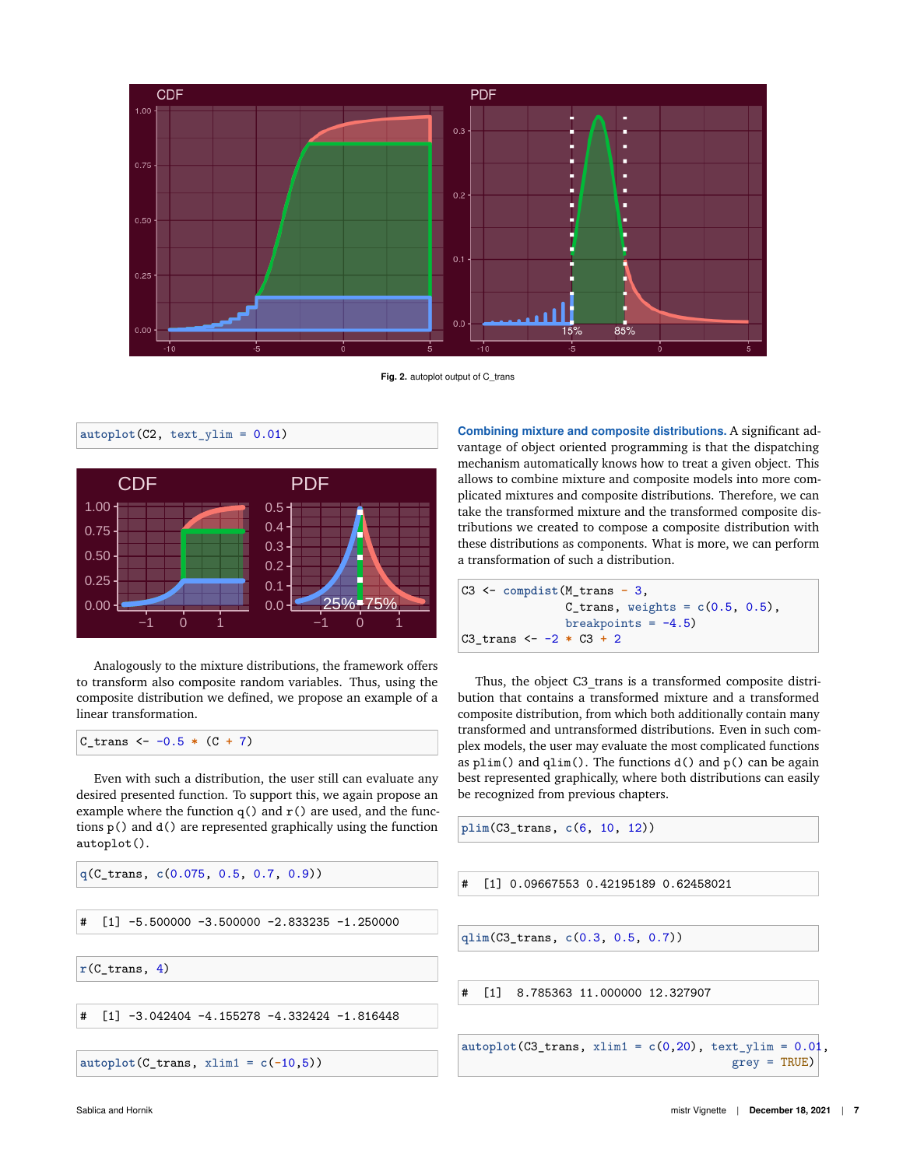

Fig. 2. autoplot output of C\_trans

0.00 0.25 0.50 0.75 1.00 CDF 0.0 <del>1 25%−75%</del> 0.1 0.2 0.3 0.4 0.5 PDF

Analogously to the mixture distributions, the framework offers to transform also composite random variables. Thus, using the composite distribution we defined, we propose an example of a linear transformation.

 $C_{trans}$  <- -0.5  $*$  (C + 7)

**autoplot**(C2, text\_ylim = 0.01)

Even with such a distribution, the user still can evaluate any desired presented function. To support this, we again propose an example where the function  $q()$  and  $r()$  are used, and the functions p() and d() are represented graphically using the function autoplot().

```
q(C_trans, c(0.075, 0.5, 0.7, 0.9))
```
 $[1]$  -5.500000 -3.500000 -2.833235 -1.250000

 $r(C_trans, 4)$ 

 $\lceil 1 \rceil$  -3.042404 -4.155278 -4.332424 -1.816448

**autoplot**(C\_trans, xlim1 = **c**(**-**10,5))

**Combining mixture and composite distributions.** A significant advantage of object oriented programming is that the dispatching mechanism automatically knows how to treat a given object. This allows to combine mixture and composite models into more complicated mixtures and composite distributions. Therefore, we can take the transformed mixture and the transformed composite distributions we created to compose a composite distribution with these distributions as components. What is more, we can perform a transformation of such a distribution.

C3 <- **compdist**(M\_trans **-** 3,  $C_{trans}$ , weights =  $c(0.5, 0.5)$ , breakpoints =  $-4.5$ ) C3\_trans <- -2 **\*** C3 **+** 2

Thus, the object C3\_trans is a transformed composite distribution that contains a transformed mixture and a transformed composite distribution, from which both additionally contain many transformed and untransformed distributions. Even in such complex models, the user may evaluate the most complicated functions as  $plim()$  and  $qlim()$ . The functions  $d()$  and  $p()$  can be again best represented graphically, where both distributions can easily be recognized from previous chapters.

**plim**(C3\_trans, **c**(6, 10, 12))

# [1] 0.09667553 0.42195189 0.62458021

**qlim**(C3\_trans, **c**(0.3, 0.5, 0.7))

# [1] 8.785363 11.000000 12.327907

**autoplot**(C3\_trans, xlim1 = **c**(0,20), text\_ylim = 0.01, grey = TRUE)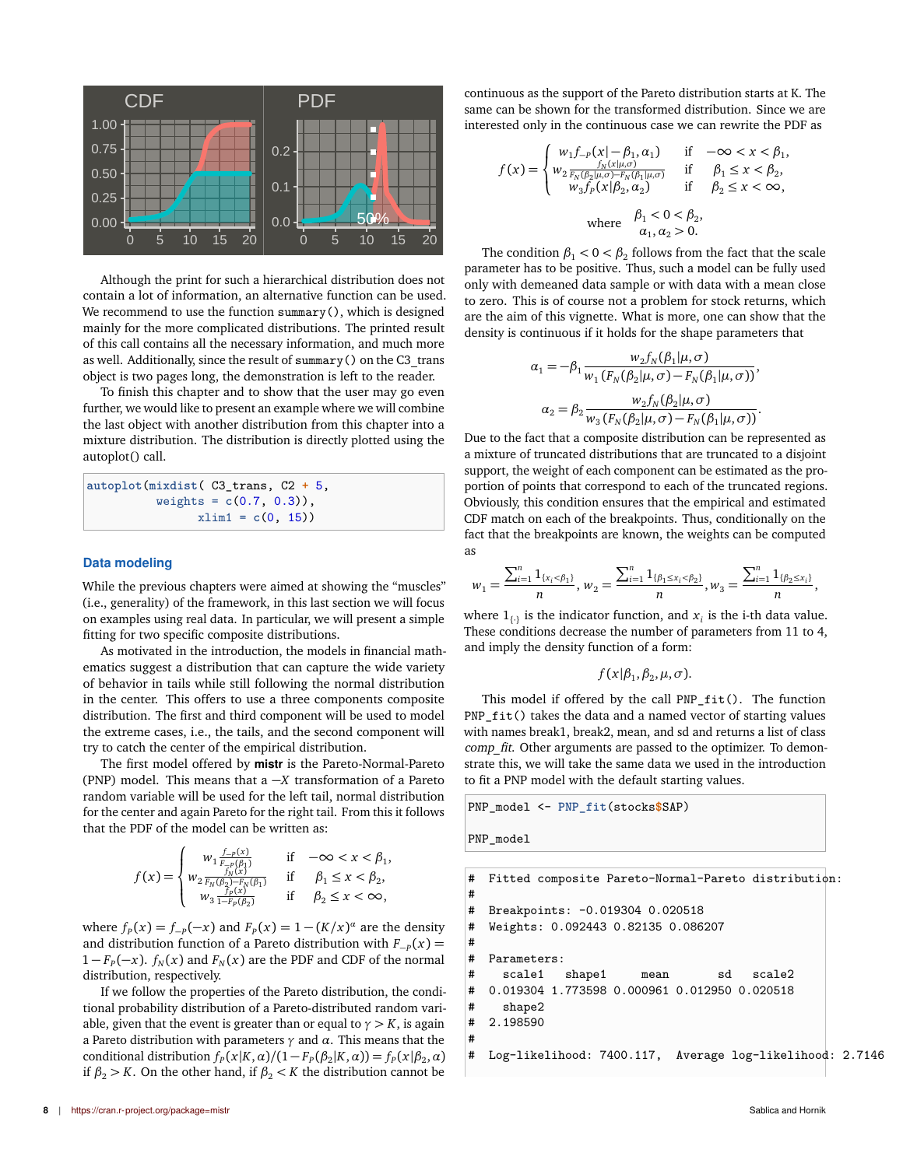

Although the print for such a hierarchical distribution does not contain a lot of information, an alternative function can be used. We recommend to use the function summary(), which is designed mainly for the more complicated distributions. The printed result of this call contains all the necessary information, and much more as well. Additionally, since the result of summary() on the C3\_trans object is two pages long, the demonstration is left to the reader.

To finish this chapter and to show that the user may go even further, we would like to present an example where we will combine the last object with another distribution from this chapter into a mixture distribution. The distribution is directly plotted using the autoplot() call.

**autoplot**(**mixdist**( C3\_trans, C2 **+** 5, weights = **c**(0.7, 0.3)),  $xlim1 = c(0, 15)$ 

#### **Data modeling**

While the previous chapters were aimed at showing the "muscles" (i.e., generality) of the framework, in this last section we will focus on examples using real data. In particular, we will present a simple fitting for two specific composite distributions.

As motivated in the introduction, the models in financial mathematics suggest a distribution that can capture the wide variety of behavior in tails while still following the normal distribution in the center. This offers to use a three components composite distribution. The first and third component will be used to model the extreme cases, i.e., the tails, and the second component will try to catch the center of the empirical distribution.

The first model offered by **mistr** is the Pareto-Normal-Pareto (PNP) model. This means that a −*X* transformation of a Pareto random variable will be used for the left tail, normal distribution for the center and again Pareto for the right tail. From this it follows that the PDF of the model can be written as:

$$
f(x) = \begin{cases} w_1 \frac{f_{-p}(x)}{F_{-p}(\beta_1)} & \text{if } -\infty < x < \beta_1, \\ w_2 \frac{f_N(x)}{F_N(\beta_2) - F_N(\beta_1)} & \text{if } \beta_1 \le x < \beta_2, \\ w_3 \frac{f_p(x)}{1 - F_p(\beta_2)} & \text{if } \beta_2 \le x < \infty, \end{cases}
$$

where  $f<sub>P</sub>(x) = f<sub>-P</sub>(-x)$  and  $F<sub>P</sub>(x) = 1 - (K/x)^{\alpha}$  are the density and distribution function of a Pareto distribution with  $F_{-P}(x) =$  $1 - F_p(-x)$ .  $f_N(x)$  and  $F_N(x)$  are the PDF and CDF of the normal distribution, respectively.

If we follow the properties of the Pareto distribution, the conditional probability distribution of a Pareto-distributed random variable, given that the event is greater than or equal to  $\gamma > K$ , is again a Pareto distribution with parameters *γ* and *α*. This means that the conditional distribution  $f_P(x|K, \alpha)/(1 - F_P(\beta_2|K, \alpha)) = f_P(x|\beta_2, \alpha)$ if  $\beta_2 > K$ . On the other hand, if  $\beta_2 < K$  the distribution cannot be

continuous as the support of the Pareto distribution starts at K. The same can be shown for the transformed distribution. Since we are interested only in the continuous case we can rewrite the PDF as

$$
f(x) = \begin{cases} w_1 f_{-p}(x | - \beta_1, \alpha_1) & \text{if } -\infty < x < \beta_1, \\ w_2 \frac{f_N(x | \mu, \sigma)}{F_N(\beta_2 | \mu, \sigma) - F_N(\beta_1 | \mu, \sigma)} & \text{if } \beta_1 \le x < \beta_2, \\ w_3 f_p(x | \beta_2, \alpha_2) & \text{if } \beta_2 \le x < \infty, \\ w \text{where } \beta_1 < 0 < \beta_2, \\ \alpha_1, \alpha_2 > 0. \end{cases}
$$

The condition  $\beta_1 < 0 < \beta_2$  follows from the fact that the scale parameter has to be positive. Thus, such a model can be fully used only with demeaned data sample or with data with a mean close to zero. This is of course not a problem for stock returns, which are the aim of this vignette. What is more, one can show that the density is continuous if it holds for the shape parameters that

$$
\alpha_1 = -\beta_1 \frac{w_2 f_N(\beta_1 | \mu, \sigma)}{w_1 (F_N(\beta_2 | \mu, \sigma) - F_N(\beta_1 | \mu, \sigma))},
$$

$$
\alpha_2 = \beta_2 \frac{w_2 f_N(\beta_2 | \mu, \sigma)}{w_3 (F_N(\beta_2 | \mu, \sigma) - F_N(\beta_1 | \mu, \sigma))}.
$$

Due to the fact that a composite distribution can be represented as a mixture of truncated distributions that are truncated to a disjoint support, the weight of each component can be estimated as the proportion of points that correspond to each of the truncated regions. Obviously, this condition ensures that the empirical and estimated CDF match on each of the breakpoints. Thus, conditionally on the fact that the breakpoints are known, the weights can be computed as

$$
w_1=\frac{\sum_{i=1}^n 1_{\{x_i<\beta_1\}}}{n}, w_2=\frac{\sum_{i=1}^n 1_{\{\beta_1\leq x_i<\beta_2\}}}{n}, w_3=\frac{\sum_{i=1}^n 1_{\{\beta_2\leq x_i\}}}{n},
$$

where  $1_{\{\cdot\}}$  is the indicator function, and  $x_i$  is the i-th data value. These conditions decrease the number of parameters from 11 to 4, and imply the density function of a form:

 $f(x|\beta_1, \beta_2, \mu, \sigma)$ .

This model if offered by the call PNP\_fit(). The function PNP\_fit() takes the data and a named vector of starting values with names break1, break2, mean, and sd and returns a list of class comp fit. Other arguments are passed to the optimizer. To demonstrate this, we will take the same data we used in the introduction to fit a PNP model with the default starting values.

PNP\_model <- **PNP\_fit**(stocks**\$**SAP)

PNP\_model

```
# Fitted composite Pareto-Normal-Pareto distribution:
#
# Breakpoints: -0.019304 0.020518
# Weights: 0.092443 0.82135 0.086207
#
# Parameters:
# scale1 shape1 mean sd scale2
# 0.019304 1.773598 0.000961 0.012950 0.020518
# shape2
# 2.198590
#
  Log-likelihood: 7400.117, Average log-likelihood: 2.7146
```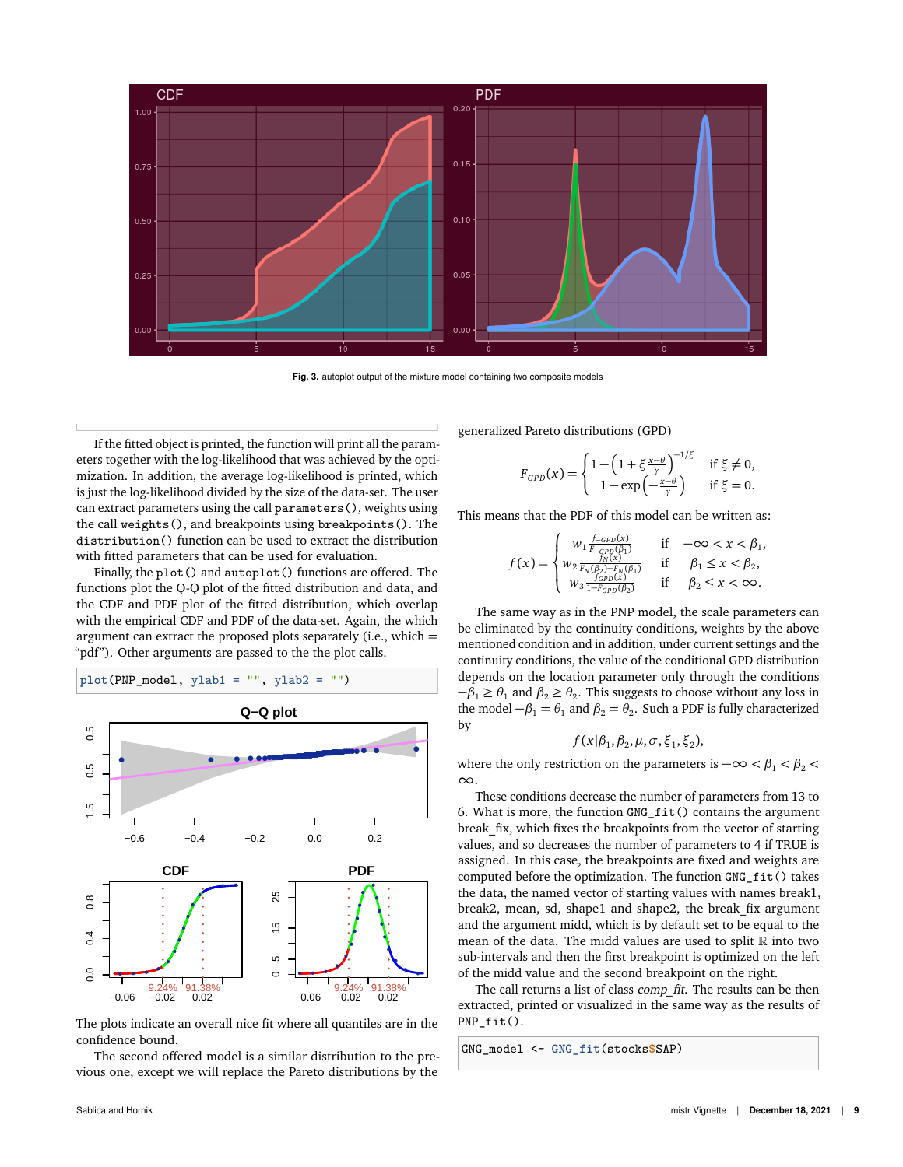

**Fig. 3.** autoplot output of the mixture model containing two composite models

If the fitted object is printed, the function will print all the parameters together with the log-likelihood that was achieved by the optimization. In addition, the average log-likelihood is printed, which is just the log-likelihood divided by the size of the data-set. The user can extract parameters using the call parameters(), weights using the call weights(), and breakpoints using breakpoints(). The distribution() function can be used to extract the distribution with fitted parameters that can be used for evaluation.

Finally, the plot() and autoplot() functions are offered. The functions plot the Q-Q plot of the fitted distribution and data, and the CDF and PDF plot of the fitted distribution, which overlap with the empirical CDF and PDF of the data-set. Again, the which argument can extract the proposed plots separately (i.e., which = "pdf"). Other arguments are passed to the the plot calls.

$$
plot(PNP_model, ylab1 = "", ylab2 = "")
$$



The plots indicate an overall nice fit where all quantiles are in the confidence bound.

The second offered model is a similar distribution to the previous one, except we will replace the Pareto distributions by the generalized Pareto distributions (GPD)

$$
F_{GPD}(x) = \begin{cases} 1 - \left(1 + \xi \frac{x-\theta}{\gamma}\right)^{-1/\xi} & \text{if } \xi \neq 0, \\ 1 - \exp\left(-\frac{x-\theta}{\gamma}\right) & \text{if } \xi = 0. \end{cases}
$$

This means that the PDF of this model can be written as:

$$
f(x) = \begin{cases} w_1 \frac{f_{-GPD}(x)}{F_{-GPD}(\beta_1)} & \text{if } -\infty < x < \beta_1, \\ w_2 \frac{f_{N}(x)}{F_{N}(\beta_2) - F_{N}(\beta_1)} & \text{if } \beta_1 \le x < \beta_2, \\ w_3 \frac{f_{GPD}(x)}{1 - F_{GPD}(\beta_2)} & \text{if } \beta_2 \le x < \infty. \end{cases}
$$

The same way as in the PNP model, the scale parameters can be eliminated by the continuity conditions, weights by the above mentioned condition and in addition, under current settings and the continuity conditions, the value of the conditional GPD distribution depends on the location parameter only through the conditions  $−β<sub>1</sub> ≥ θ<sub>1</sub>$  and  $β<sub>2</sub> ≥ θ<sub>2</sub>$ . This suggests to choose without any loss in the model  $-\beta_1 = \theta_1$  and  $\beta_2 = \theta_2$ . Such a PDF is fully characterized by

$$
f(x|\beta_1,\beta_2,\mu,\sigma,\xi_1,\xi_2),
$$

where the only restriction on the parameters is  $-\infty < \beta_1 < \beta_2 <$ ∞.

These conditions decrease the number of parameters from 13 to 6. What is more, the function GNG\_fit() contains the argument break fix, which fixes the breakpoints from the vector of starting values, and so decreases the number of parameters to 4 if TRUE is assigned. In this case, the breakpoints are fixed and weights are computed before the optimization. The function GNG\_fit() takes the data, the named vector of starting values with names break1, break2, mean, sd, shape1 and shape2, the break\_fix argument and the argument midd, which is by default set to be equal to the mean of the data. The midd values are used to split  $\mathbb R$  into two sub-intervals and then the first breakpoint is optimized on the left of the midd value and the second breakpoint on the right.

The call returns a list of class comp fit. The results can be then extracted, printed or visualized in the same way as the results of PNP\_fit().

```
GNG_model <- GNG_fit(stocks$SAP)
```